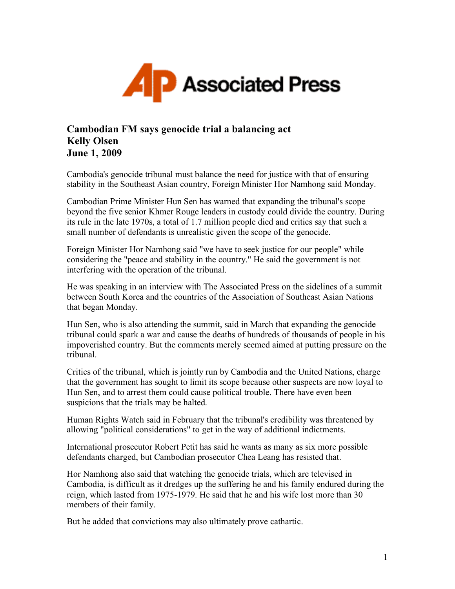

## **Cambodian FM says genocide trial a balancing act Kelly Olsen June 1, 2009**

Cambodia's genocide tribunal must balance the need for justice with that of ensuring stability in the Southeast Asian country, Foreign Minister Hor Namhong said Monday.

Cambodian Prime Minister Hun Sen has warned that expanding the tribunal's scope beyond the five senior Khmer Rouge leaders in custody could divide the country. During its rule in the late 1970s, a total of 1.7 million people died and critics say that such a small number of defendants is unrealistic given the scope of the genocide.

Foreign Minister Hor Namhong said "we have to seek justice for our people" while considering the "peace and stability in the country." He said the government is not interfering with the operation of the tribunal.

He was speaking in an interview with The Associated Press on the sidelines of a summit between South Korea and the countries of the Association of Southeast Asian Nations that began Monday.

Hun Sen, who is also attending the summit, said in March that expanding the genocide tribunal could spark a war and cause the deaths of hundreds of thousands of people in his impoverished country. But the comments merely seemed aimed at putting pressure on the tribunal.

Critics of the tribunal, which is jointly run by Cambodia and the United Nations, charge that the government has sought to limit its scope because other suspects are now loyal to Hun Sen, and to arrest them could cause political trouble. There have even been suspicions that the trials may be halted.

Human Rights Watch said in February that the tribunal's credibility was threatened by allowing "political considerations" to get in the way of additional indictments.

International prosecutor Robert Petit has said he wants as many as six more possible defendants charged, but Cambodian prosecutor Chea Leang has resisted that.

Hor Namhong also said that watching the genocide trials, which are televised in Cambodia, is difficult as it dredges up the suffering he and his family endured during the reign, which lasted from 1975-1979. He said that he and his wife lost more than 30 members of their family.

But he added that convictions may also ultimately prove cathartic.